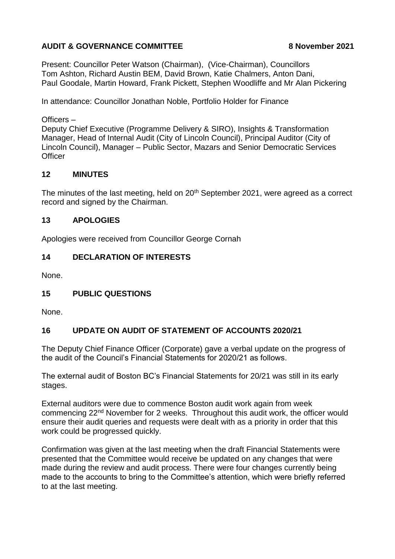# **AUDIT & GOVERNANCE COMMITTEE 8 November 2021**

Present: Councillor Peter Watson (Chairman), (Vice-Chairman), Councillors Tom Ashton, Richard Austin BEM, David Brown, Katie Chalmers, Anton Dani, Paul Goodale, Martin Howard, Frank Pickett, Stephen Woodliffe and Mr Alan Pickering

In attendance: Councillor Jonathan Noble, Portfolio Holder for Finance

Officers –

Deputy Chief Executive (Programme Delivery & SIRO), Insights & Transformation Manager, Head of Internal Audit (City of Lincoln Council), Principal Auditor (City of Lincoln Council), Manager – Public Sector, Mazars and Senior Democratic Services **Officer** 

## **12 MINUTES**

The minutes of the last meeting, held on 20<sup>th</sup> September 2021, were agreed as a correct record and signed by the Chairman.

## **13 APOLOGIES**

Apologies were received from Councillor George Cornah

## **14 DECLARATION OF INTERESTS**

None.

# **15 PUBLIC QUESTIONS**

None.

# **16 UPDATE ON AUDIT OF STATEMENT OF ACCOUNTS 2020/21**

The Deputy Chief Finance Officer (Corporate) gave a verbal update on the progress of the audit of the Council's Financial Statements for 2020/21 as follows.

The external audit of Boston BC's Financial Statements for 20/21 was still in its early stages.

External auditors were due to commence Boston audit work again from week commencing 22nd November for 2 weeks. Throughout this audit work, the officer would ensure their audit queries and requests were dealt with as a priority in order that this work could be progressed quickly.

Confirmation was given at the last meeting when the draft Financial Statements were presented that the Committee would receive be updated on any changes that were made during the review and audit process. There were four changes currently being made to the accounts to bring to the Committee's attention, which were briefly referred to at the last meeting.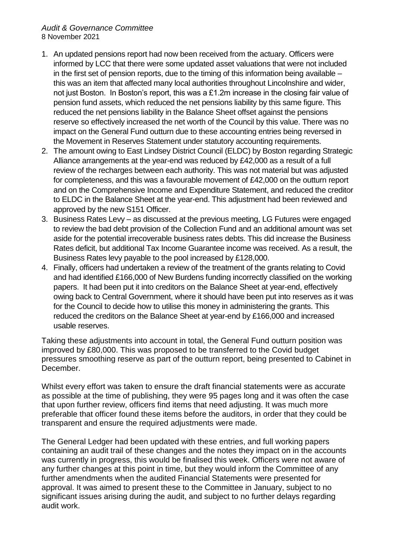#### *Audit & Governance Committee* 8 November 2021

- 1. An updated pensions report had now been received from the actuary. Officers were informed by LCC that there were some updated asset valuations that were not included in the first set of pension reports, due to the timing of this information being available – this was an item that affected many local authorities throughout Lincolnshire and wider, not just Boston. In Boston's report, this was a £1.2m increase in the closing fair value of pension fund assets, which reduced the net pensions liability by this same figure. This reduced the net pensions liability in the Balance Sheet offset against the pensions reserve so effectively increased the net worth of the Council by this value. There was no impact on the General Fund outturn due to these accounting entries being reversed in the Movement in Reserves Statement under statutory accounting requirements.
- 2. The amount owing to East Lindsey District Council (ELDC) by Boston regarding Strategic Alliance arrangements at the year-end was reduced by £42,000 as a result of a full review of the recharges between each authority. This was not material but was adjusted for completeness, and this was a favourable movement of £42,000 on the outturn report and on the Comprehensive Income and Expenditure Statement, and reduced the creditor to ELDC in the Balance Sheet at the year-end. This adjustment had been reviewed and approved by the new S151 Officer.
- 3. Business Rates Levy as discussed at the previous meeting, LG Futures were engaged to review the bad debt provision of the Collection Fund and an additional amount was set aside for the potential irrecoverable business rates debts. This did increase the Business Rates deficit, but additional Tax Income Guarantee income was received. As a result, the Business Rates levy payable to the pool increased by £128,000.
- 4. Finally, officers had undertaken a review of the treatment of the grants relating to Covid and had identified £166,000 of New Burdens funding incorrectly classified on the working papers. It had been put it into creditors on the Balance Sheet at year-end, effectively owing back to Central Government, where it should have been put into reserves as it was for the Council to decide how to utilise this money in administering the grants. This reduced the creditors on the Balance Sheet at year-end by £166,000 and increased usable reserves.

Taking these adjustments into account in total, the General Fund outturn position was improved by £80,000. This was proposed to be transferred to the Covid budget pressures smoothing reserve as part of the outturn report, being presented to Cabinet in December.

Whilst every effort was taken to ensure the draft financial statements were as accurate as possible at the time of publishing, they were 95 pages long and it was often the case that upon further review, officers find items that need adjusting. It was much more preferable that officer found these items before the auditors, in order that they could be transparent and ensure the required adjustments were made.

The General Ledger had been updated with these entries, and full working papers containing an audit trail of these changes and the notes they impact on in the accounts was currently in progress, this would be finalised this week. Officers were not aware of any further changes at this point in time, but they would inform the Committee of any further amendments when the audited Financial Statements were presented for approval. It was aimed to present these to the Committee in January, subject to no significant issues arising during the audit, and subject to no further delays regarding audit work.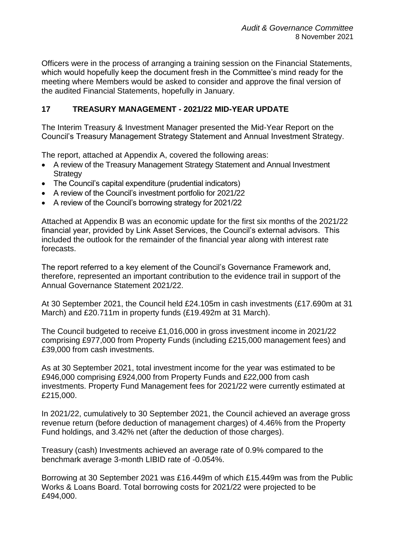Officers were in the process of arranging a training session on the Financial Statements, which would hopefully keep the document fresh in the Committee's mind ready for the meeting where Members would be asked to consider and approve the final version of the audited Financial Statements, hopefully in January.

# **17 TREASURY MANAGEMENT - 2021/22 MID-YEAR UPDATE**

The Interim Treasury & Investment Manager presented the Mid-Year Report on the Council's Treasury Management Strategy Statement and Annual Investment Strategy.

The report, attached at Appendix A, covered the following areas:

- A review of the Treasury Management Strategy Statement and Annual Investment **Strategy**
- The Council's capital expenditure (prudential indicators)
- A review of the Council's investment portfolio for 2021/22
- A review of the Council's borrowing strategy for 2021/22

Attached at Appendix B was an economic update for the first six months of the 2021/22 financial year, provided by Link Asset Services, the Council's external advisors. This included the outlook for the remainder of the financial year along with interest rate forecasts.

The report referred to a key element of the Council's Governance Framework and, therefore, represented an important contribution to the evidence trail in support of the Annual Governance Statement 2021/22.

At 30 September 2021, the Council held £24.105m in cash investments (£17.690m at 31 March) and £20.711m in property funds (£19.492m at 31 March).

The Council budgeted to receive £1,016,000 in gross investment income in 2021/22 comprising £977,000 from Property Funds (including £215,000 management fees) and £39,000 from cash investments.

As at 30 September 2021, total investment income for the year was estimated to be £946,000 comprising £924,000 from Property Funds and £22,000 from cash investments. Property Fund Management fees for 2021/22 were currently estimated at £215,000.

In 2021/22, cumulatively to 30 September 2021, the Council achieved an average gross revenue return (before deduction of management charges) of 4.46% from the Property Fund holdings, and 3.42% net (after the deduction of those charges).

Treasury (cash) Investments achieved an average rate of 0.9% compared to the benchmark average 3-month LIBID rate of -0.054%.

Borrowing at 30 September 2021 was £16.449m of which £15.449m was from the Public Works & Loans Board. Total borrowing costs for 2021/22 were projected to be £494,000.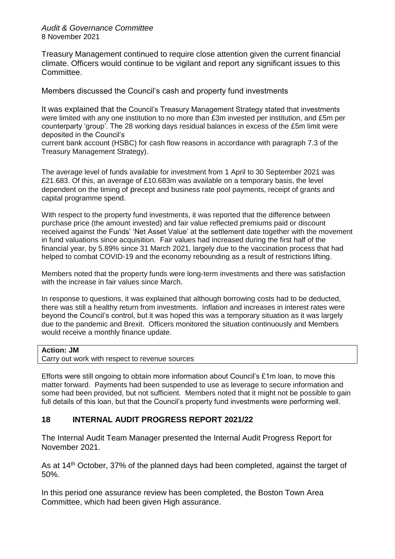#### *Audit & Governance Committee* 8 November 2021

Treasury Management continued to require close attention given the current financial climate. Officers would continue to be vigilant and report any significant issues to this Committee.

Members discussed the Council's cash and property fund investments

It was explained that the Council's Treasury Management Strategy stated that investments were limited with any one institution to no more than £3m invested per institution, and £5m per counterparty 'group'. The 28 working days residual balances in excess of the £5m limit were deposited in the Council's

current bank account (HSBC) for cash flow reasons in accordance with paragraph 7.3 of the Treasury Management Strategy).

The average level of funds available for investment from 1 April to 30 September 2021 was £21.683. Of this, an average of £10.683m was available on a temporary basis, the level dependent on the timing of precept and business rate pool payments, receipt of grants and capital programme spend.

With respect to the property fund investments, it was reported that the difference between purchase price (the amount invested) and fair value reflected premiums paid or discount received against the Funds' 'Net Asset Value' at the settlement date together with the movement in fund valuations since acquisition. Fair values had increased during the first half of the financial year, by 5.89% since 31 March 2021, largely due to the vaccination process that had helped to combat COVID-19 and the economy rebounding as a result of restrictions lifting.

Members noted that the property funds were long-term investments and there was satisfaction with the increase in fair values since March.

In response to questions, it was explained that although borrowing costs had to be deducted, there was still a healthy return from investments. Inflation and increases in interest rates were beyond the Council's control, but it was hoped this was a temporary situation as it was largely due to the pandemic and Brexit. Officers monitored the situation continuously and Members would receive a monthly finance update.

#### **Action: JM**

Carry out work with respect to revenue sources

Efforts were still ongoing to obtain more information about Council's £1m loan, to move this matter forward. Payments had been suspended to use as leverage to secure information and some had been provided, but not sufficient. Members noted that it might not be possible to gain full details of this loan, but that the Council's property fund investments were performing well.

### **18 INTERNAL AUDIT PROGRESS REPORT 2021/22**

The Internal Audit Team Manager presented the Internal Audit Progress Report for November 2021.

As at 14<sup>th</sup> October, 37% of the planned days had been completed, against the target of 50%.

In this period one assurance review has been completed, the Boston Town Area Committee, which had been given High assurance.